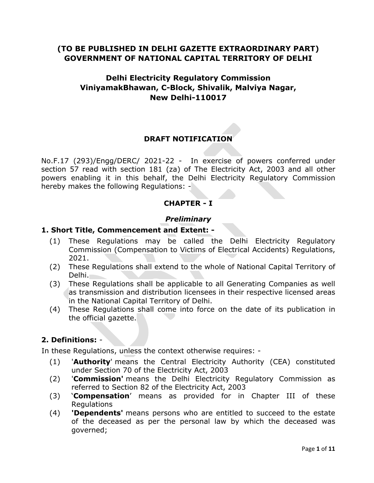# **(TO BE PUBLISHED IN DELHI GAZETTE EXTRAORDINARY PART) GOVERNMENT OF NATIONAL CAPITAL TERRITORY OF DELHI**

# **Delhi Electricity Regulatory Commission ViniyamakBhawan, C-Block, Shivalik, Malviya Nagar, New Delhi-110017**

# **DRAFT NOTIFICATION**

No.F.17 (293)/Engg/DERC/ 2021-22 - In exercise of powers conferred under section 57 read with section 181 (za) of The Electricity Act, 2003 and all other powers enabling it in this behalf, the Delhi Electricity Regulatory Commission hereby makes the following Regulations: -

## **CHAPTER - I**

## *Preliminary*

## **1. Short Title, Commencement and Extent: -**

- (1) These Regulations may be called the Delhi Electricity Regulatory Commission (Compensation to Victims of Electrical Accidents) Regulations, 2021.
- (2) These Regulations shall extend to the whole of National Capital Territory of Delhi.
- (3) These Regulations shall be applicable to all Generating Companies as well as transmission and distribution licensees in their respective licensed areas in the National Capital Territory of Delhi.
- (4) These Regulations shall come into force on the date of its publication in the official gazette.

## **2. Definitions:** -

In these Regulations, unless the context otherwise requires: -

- (1) '**Authority**' means the Central Electricity Authority (CEA) constituted under Section 70 of the Electricity Act, 2003
- (2) '**Commission'** means the Delhi Electricity Regulatory Commission as referred to Section 82 of the Electricity Act, 2003
- (3) '**Compensation**' means as provided for in Chapter III of these Regulations
- (4) **'Dependents'** means persons who are entitled to succeed to the estate of the deceased as per the personal law by which the deceased was governed;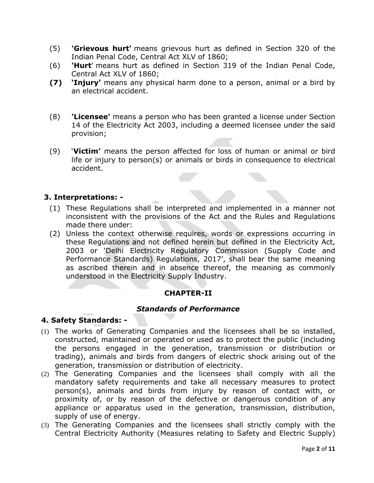- (5) **'Grievous hurt'** means grievous hurt as defined in Section 320 of the Indian Penal Code, Central Act XLV of 1860;
- (6) **'Hurt**' means hurt as defined in Section 319 of the Indian Penal Code, Central Act XLV of 1860;
- **(7) 'Injury'** means any physical harm done to a person, animal or a bird by an electrical accident.
- (8) **'Licensee'** means a person who has been granted a license under Section 14 of the Electricity Act 2003, including a deemed licensee under the said provision;
- (9) '**Victim'** means the person affected for loss of human or animal or bird life or injury to person(s) or animals or birds in consequence to electrical accident.

## **3. Interpretations: -**

- (1) These Regulations shall be interpreted and implemented in a manner not inconsistent with the provisions of the Act and the Rules and Regulations made there under:
- (2) Unless the context otherwise requires, words or expressions occurring in these Regulations and not defined herein but defined in the Electricity Act, 2003 or 'Delhi Electricity Regulatory Commission (Supply Code and Performance Standards) Regulations, 2017', shall bear the same meaning as ascribed therein and in absence thereof, the meaning as commonly understood in the Electricity Supply Industry.

## **CHAPTER-II**

## *Standards of Performance*

#### **4. Safety Standards: -**

- (1) The works of Generating Companies and the licensees shall be so installed, constructed, maintained or operated or used as to protect the public (including the persons engaged in the generation, transmission or distribution or trading), animals and birds from dangers of electric shock arising out of the generation, transmission or distribution of electricity.
- (2) The Generating Companies and the licensees shall comply with all the mandatory safety requirements and take all necessary measures to protect person(s), animals and birds from injury by reason of contact with, or proximity of, or by reason of the defective or dangerous condition of any appliance or apparatus used in the generation, transmission, distribution, supply of use of energy.
- (3) The Generating Companies and the licensees shall strictly comply with the Central Electricity Authority (Measures relating to Safety and Electric Supply)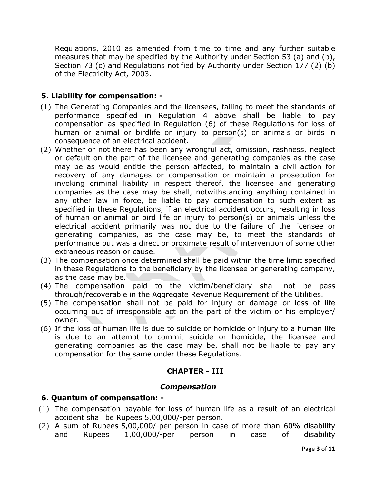Regulations, 2010 as amended from time to time and any further suitable measures that may be specified by the Authority under Section 53 (a) and (b), Section 73 (c) and Regulations notified by Authority under Section 177 (2) (b) of the Electricity Act, 2003.

## **5. Liability for compensation: -**

- (1) The Generating Companies and the licensees, failing to meet the standards of performance specified in Regulation 4 above shall be liable to pay compensation as specified in Regulation (6) of these Regulations for loss of human or animal or birdlife or injury to person(s) or animals or birds in consequence of an electrical accident.
- (2) Whether or not there has been any wrongful act, omission, rashness, neglect or default on the part of the licensee and generating companies as the case may be as would entitle the person affected, to maintain a civil action for recovery of any damages or compensation or maintain a prosecution for invoking criminal liability in respect thereof, the licensee and generating companies as the case may be shall, notwithstanding anything contained in any other law in force, be liable to pay compensation to such extent as specified in these Regulations, if an electrical accident occurs, resulting in loss of human or animal or bird life or injury to person(s) or animals unless the electrical accident primarily was not due to the failure of the licensee or generating companies, as the case may be, to meet the standards of performance but was a direct or proximate result of intervention of some other extraneous reason or cause.
- (3) The compensation once determined shall be paid within the time limit specified in these Regulations to the beneficiary by the licensee or generating company, as the case may be.
- (4) The compensation paid to the victim/beneficiary shall not be pass through/recoverable in the Aggregate Revenue Requirement of the Utilities.
- (5) The compensation shall not be paid for injury or damage or loss of life occurring out of irresponsible act on the part of the victim or his employer/ owner.
- (6) If the loss of human life is due to suicide or homicide or injury to a human life is due to an attempt to commit suicide or homicide, the licensee and generating companies as the case may be, shall not be liable to pay any compensation for the same under these Regulations.

## **CHAPTER - III**

#### *Compensation*

## **6. Quantum of compensation: -**

- (1) The compensation payable for loss of human life as a result of an electrical accident shall be Rupees 5,00,000/-per person.
- (2) A sum of Rupees 5,00,000/-per person in case of more than 60% disability and Rupees 1,00,000/-per person in case of disability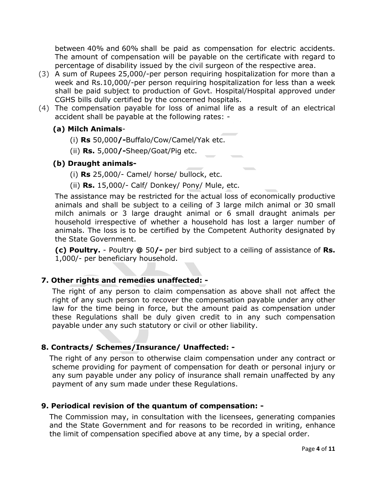between 40% and 60% shall be paid as compensation for electric accidents. The amount of compensation will be payable on the certificate with regard to percentage of disability issued by the civil surgeon of the respective area.

- (3) A sum of Rupees 25,000/-per person requiring hospitalization for more than a week and Rs.10,000/-per person requiring hospitalization for less than a week shall be paid subject to production of Govt. Hospital/Hospital approved under CGHS bills dully certified by the concerned hospitals.
- (4) The compensation payable for loss of animal life as a result of an electrical accident shall be payable at the following rates: -

## **(a) Milch Animals**-

- (i) **Rs** 50,000**/-**Buffalo/Cow/Camel/Yak etc.
- (ii) **Rs.** 5,000**/-**Sheep/Goat/Pig etc.

## **(b) Draught animals-**

- (i) **Rs** 25,000/- Camel/ horse/ bullock, etc.
- (ii) **Rs.** 15,000/- Calf/ Donkey/ Pony/ Mule, etc.

The assistance may be restricted for the actual loss of economically productive animals and shall be subject to a ceiling of 3 large milch animal or 30 small milch animals or 3 large draught animal or 6 small draught animals per household irrespective of whether a household has lost a larger number of animals. The loss is to be certified by the Competent Authority designated by the State Government.

 $\sim$ 

**(c) Poultry.** - Poultry **@** 50**/-** per bird subject to a ceiling of assistance of **Rs.**  1,000/- per beneficiary household.

## **7. Other rights and remedies unaffected: -**

The right of any person to claim compensation as above shall not affect the right of any such person to recover the compensation payable under any other law for the time being in force, but the amount paid as compensation under these Regulations shall be duly given credit to in any such compensation payable under any such statutory or civil or other liability.

## **8. Contracts/ Schemes/Insurance/ Unaffected: -**

The right of any person to otherwise claim compensation under any contract or scheme providing for payment of compensation for death or personal injury or any sum payable under any policy of insurance shall remain unaffected by any payment of any sum made under these Regulations.

## **9. Periodical revision of the quantum of compensation: -**

The Commission may, in consultation with the licensees, generating companies and the State Government and for reasons to be recorded in writing, enhance the limit of compensation specified above at any time, by a special order.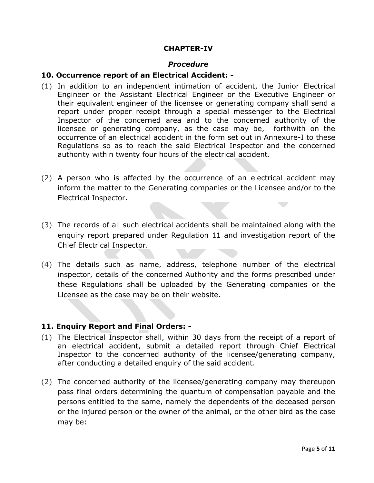## **CHAPTER-IV**

#### *Procedure*

### **10. Occurrence report of an Electrical Accident: -**

- (1) In addition to an independent intimation of accident, the Junior Electrical Engineer or the Assistant Electrical Engineer or the Executive Engineer or their equivalent engineer of the licensee or generating company shall send a report under proper receipt through a special messenger to the Electrical Inspector of the concerned area and to the concerned authority of the licensee or generating company, as the case may be, forthwith on the occurrence of an electrical accident in the form set out in Annexure-I to these Regulations so as to reach the said Electrical Inspector and the concerned authority within twenty four hours of the electrical accident.
- (2) A person who is affected by the occurrence of an electrical accident may inform the matter to the Generating companies or the Licensee and/or to the Electrical Inspector.
- (3) The records of all such electrical accidents shall be maintained along with the enquiry report prepared under Regulation 11 and investigation report of the Chief Electrical Inspector.
- (4) The details such as name, address, telephone number of the electrical inspector, details of the concerned Authority and the forms prescribed under these Regulations shall be uploaded by the Generating companies or the Licensee as the case may be on their website.

## **11. Enquiry Report and Final Orders: -**

- (1) The Electrical Inspector shall, within 30 days from the receipt of a report of an electrical accident, submit a detailed report through Chief Electrical Inspector to the concerned authority of the licensee/generating company, after conducting a detailed enquiry of the said accident.
- (2) The concerned authority of the licensee/generating company may thereupon pass final orders determining the quantum of compensation payable and the persons entitled to the same, namely the dependents of the deceased person or the injured person or the owner of the animal, or the other bird as the case may be: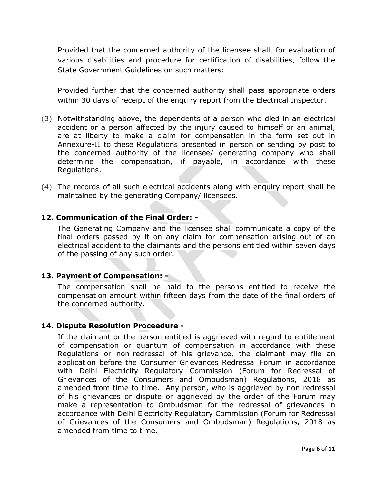Provided that the concerned authority of the licensee shall, for evaluation of various disabilities and procedure for certification of disabilities, follow the State Government Guidelines on such matters:

Provided further that the concerned authority shall pass appropriate orders within 30 days of receipt of the enquiry report from the Electrical Inspector.

- (3) Notwithstanding above, the dependents of a person who died in an electrical accident or a person affected by the injury caused to himself or an animal, are at liberty to make a claim for compensation in the form set out in Annexure-II to these Regulations presented in person or sending by post to the concerned authority of the licensee/ generating company who shall determine the compensation, if payable, in accordance with these Regulations.
- (4) The records of all such electrical accidents along with enquiry report shall be maintained by the generating Company/ licensees.

#### **12. Communication of the Final Order: -**

The Generating Company and the licensee shall communicate a copy of the final orders passed by it on any claim for compensation arising out of an electrical accident to the claimants and the persons entitled within seven days of the passing of any such order.

#### **13. Payment of Compensation: -**

The compensation shall be paid to the persons entitled to receive the compensation amount within fifteen days from the date of the final orders of the concerned authority.

#### **14. Dispute Resolution Proceedure -**

If the claimant or the person entitled is aggrieved with regard to entitlement of compensation or quantum of compensation in accordance with these Regulations or non-redressal of his grievance, the claimant may file an application before the Consumer Grievances Redressal Forum in accordance with Delhi Electricity Regulatory Commission (Forum for Redressal of Grievances of the Consumers and Ombudsman) Regulations, 2018 as amended from time to time. Any person, who is aggrieved by non-redressal of his grievances or dispute or aggrieved by the order of the Forum may make a representation to Ombudsman for the redressal of grievances in accordance with Delhi Electricity Regulatory Commission (Forum for Redressal of Grievances of the Consumers and Ombudsman) Regulations, 2018 as amended from time to time.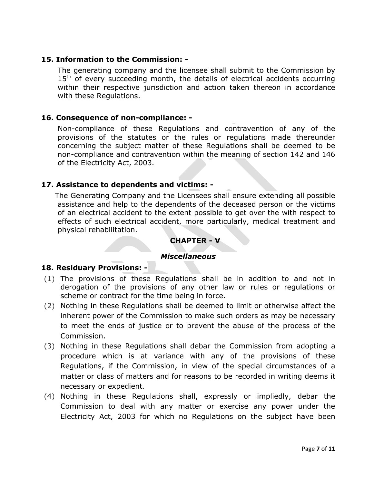## **15. Information to the Commission: -**

The generating company and the licensee shall submit to the Commission by  $15<sup>th</sup>$  of every succeeding month, the details of electrical accidents occurring within their respective jurisdiction and action taken thereon in accordance with these Regulations.

## **16. Consequence of non-compliance: -**

Non-compliance of these Regulations and contravention of any of the provisions of the statutes or the rules or regulations made thereunder concerning the subject matter of these Regulations shall be deemed to be non-compliance and contravention within the meaning of section 142 and 146 of the Electricity Act, 2003.

## **17. Assistance to dependents and victims: -**

The Generating Company and the Licensees shall ensure extending all possible assistance and help to the dependents of the deceased person or the victims of an electrical accident to the extent possible to get over the with respect to effects of such electrical accident, more particularly, medical treatment and physical rehabilitation.

## **CHAPTER - V**

### *Miscellaneous*

## **18. Residuary Provisions: -**

- (1) The provisions of these Regulations shall be in addition to and not in derogation of the provisions of any other law or rules or regulations or scheme or contract for the time being in force.
- (2) Nothing in these Regulations shall be deemed to limit or otherwise affect the inherent power of the Commission to make such orders as may be necessary to meet the ends of justice or to prevent the abuse of the process of the Commission.
- (3) Nothing in these Regulations shall debar the Commission from adopting a procedure which is at variance with any of the provisions of these Regulations, if the Commission, in view of the special circumstances of a matter or class of matters and for reasons to be recorded in writing deems it necessary or expedient.
- (4) Nothing in these Regulations shall, expressly or impliedly, debar the Commission to deal with any matter or exercise any power under the Electricity Act, 2003 for which no Regulations on the subject have been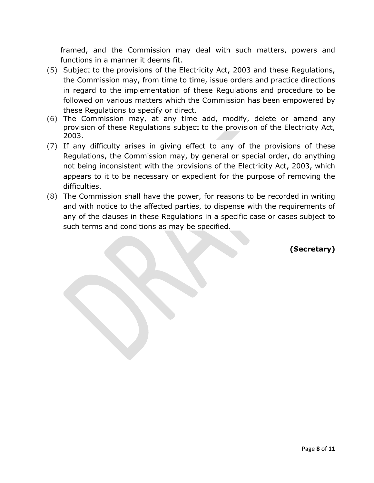framed, and the Commission may deal with such matters, powers and functions in a manner it deems fit.

- (5) Subject to the provisions of the Electricity Act, 2003 and these Regulations, the Commission may, from time to time, issue orders and practice directions in regard to the implementation of these Regulations and procedure to be followed on various matters which the Commission has been empowered by these Regulations to specify or direct.
- (6) The Commission may, at any time add, modify, delete or amend any provision of these Regulations subject to the provision of the Electricity Act, 2003.
- (7) If any difficulty arises in giving effect to any of the provisions of these Regulations, the Commission may, by general or special order, do anything not being inconsistent with the provisions of the Electricity Act, 2003, which appears to it to be necessary or expedient for the purpose of removing the difficulties.
- (8) The Commission shall have the power, for reasons to be recorded in writing and with notice to the affected parties, to dispense with the requirements of any of the clauses in these Regulations in a specific case or cases subject to such terms and conditions as may be specified.

**(Secretary)**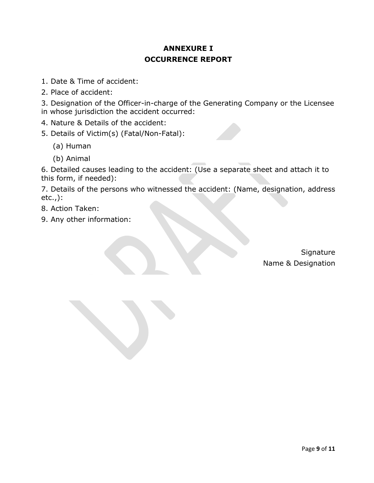# **ANNEXURE I OCCURRENCE REPORT**

- 1. Date & Time of accident:
- 2. Place of accident:
- 3. Designation of the Officer-in-charge of the Generating Company or the Licensee
- in whose jurisdiction the accident occurred:
- 4. Nature & Details of the accident:
- 5. Details of Victim(s) (Fatal/Non-Fatal):
	- (a) Human
	- (b) Animal

6. Detailed causes leading to the accident: (Use a separate sheet and attach it to this form, if needed):

7. Details of the persons who witnessed the accident: (Name, designation, address etc.,):

- 8. Action Taken:
- 9. Any other information:

**Signature** Name & Designation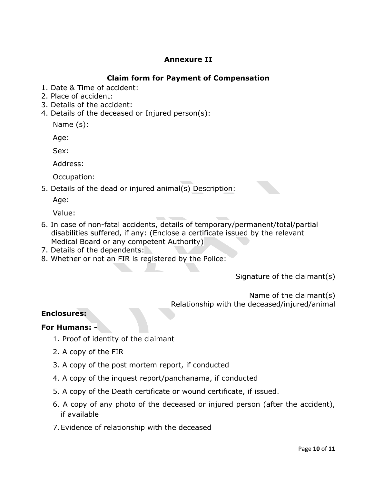## **Annexure II**

## **Claim form for Payment of Compensation**

- 1. Date & Time of accident:
- 2. Place of accident:
- 3. Details of the accident:
- 4. Details of the deceased or Injured person(s):

Name (s):

Age:

Sex:

Address:

Occupation:

5. Details of the dead or injured animal(s) Description:

Age:

Value:

- 6. In case of non-fatal accidents, details of temporary/permanent/total/partial disabilities suffered, if any: (Enclose a certificate issued by the relevant Medical Board or any competent Authority)
- 7. Details of the dependents:
- 8. Whether or not an FIR is registered by the Police:

Signature of the claimant(s)

Name of the claimant(s) Relationship with the deceased/injured/animal

## **Enclosures:**

## **For Humans: -**

- 1. Proof of identity of the claimant
- 2. A copy of the FIR
- 3. A copy of the post mortem report, if conducted
- 4. A copy of the inquest report/panchanama, if conducted
- 5. A copy of the Death certificate or wound certificate, if issued.
- 6. A copy of any photo of the deceased or injured person (after the accident), if available
- 7.Evidence of relationship with the deceased